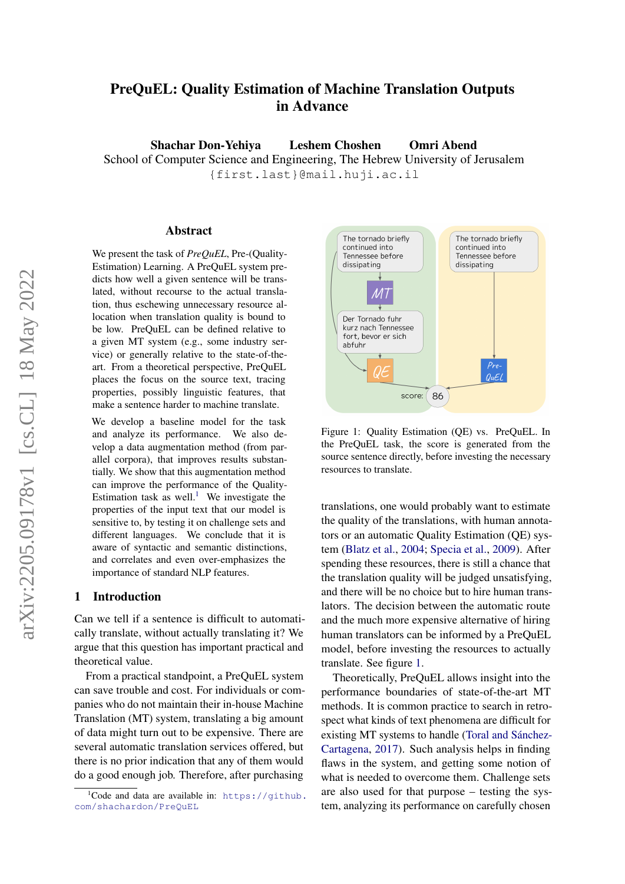# PreQuEL: Quality Estimation of Machine Translation Outputs in Advance

Shachar Don-Yehiya Leshem Choshen Omri Abend

School of Computer Science and Engineering, The Hebrew University of Jerusalem {first.last}@mail.huji.ac.il

#### Abstract

We present the task of *PreQuEL*, Pre-(Quality-Estimation) Learning. A PreQuEL system predicts how well a given sentence will be translated, without recourse to the actual translation, thus eschewing unnecessary resource allocation when translation quality is bound to be low. PreQuEL can be defined relative to a given MT system (e.g., some industry service) or generally relative to the state-of-theart. From a theoretical perspective, PreQuEL places the focus on the source text, tracing properties, possibly linguistic features, that make a sentence harder to machine translate.

We develop a baseline model for the task and analyze its performance. We also develop a data augmentation method (from parallel corpora), that improves results substantially. We show that this augmentation method can improve the performance of the Quality-Estimation task as well.<sup>[1](#page-0-0)</sup> We investigate the properties of the input text that our model is sensitive to, by testing it on challenge sets and different languages. We conclude that it is aware of syntactic and semantic distinctions, and correlates and even over-emphasizes the importance of standard NLP features.

# 1 Introduction

Can we tell if a sentence is difficult to automatically translate, without actually translating it? We argue that this question has important practical and theoretical value.

From a practical standpoint, a PreQuEL system can save trouble and cost. For individuals or companies who do not maintain their in-house Machine Translation (MT) system, translating a big amount of data might turn out to be expensive. There are several automatic translation services offered, but there is no prior indication that any of them would do a good enough job. Therefore, after purchasing

<span id="page-0-1"></span>

Figure 1: Quality Estimation (QE) vs. PreQuEL. In the PreQuEL task, the score is generated from the source sentence directly, before investing the necessary resources to translate.

translations, one would probably want to estimate the quality of the translations, with human annotators or an automatic Quality Estimation (QE) system [\(Blatz et al.,](#page-8-0) [2004;](#page-8-0) [Specia et al.,](#page-10-0) [2009\)](#page-10-0). After spending these resources, there is still a chance that the translation quality will be judged unsatisfying, and there will be no choice but to hire human translators. The decision between the automatic route and the much more expensive alternative of hiring human translators can be informed by a PreQuEL model, before investing the resources to actually translate. See figure [1.](#page-0-1)

Theoretically, PreQuEL allows insight into the performance boundaries of state-of-the-art MT methods. It is common practice to search in retrospect what kinds of text phenomena are difficult for existing MT systems to handle [\(Toral and Sánchez-](#page-10-1)[Cartagena,](#page-10-1) [2017\)](#page-10-1). Such analysis helps in finding flaws in the system, and getting some notion of what is needed to overcome them. Challenge sets are also used for that purpose – testing the system, analyzing its performance on carefully chosen

<span id="page-0-0"></span> $1C$ ode and data are available in: [https://github.](https://github.com/shachardon/PreQuEL) [com/shachardon/PreQuEL](https://github.com/shachardon/PreQuEL)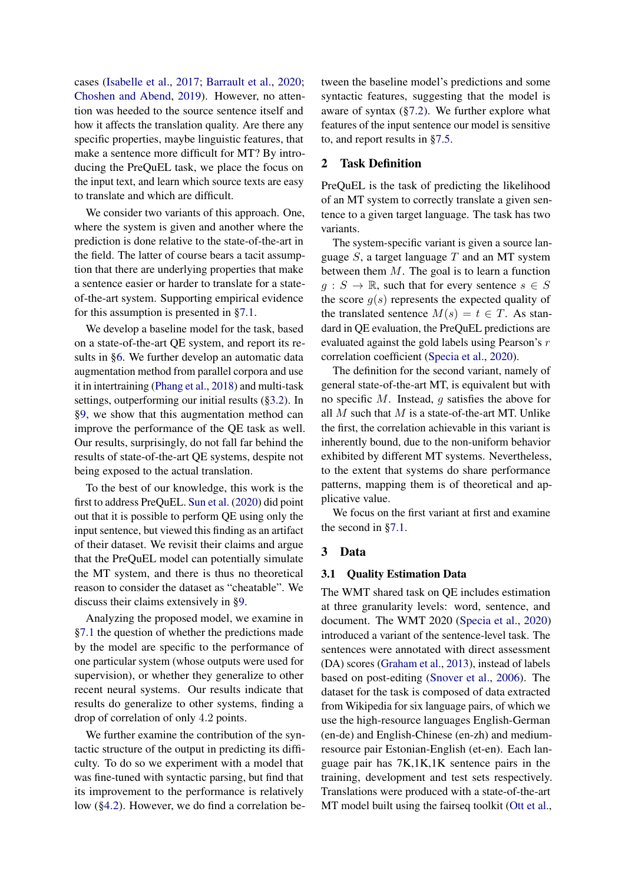cases [\(Isabelle et al.,](#page-9-0) [2017;](#page-9-0) [Barrault et al.,](#page-8-1) [2020;](#page-8-1) [Choshen and Abend,](#page-8-2) [2019\)](#page-8-2). However, no attention was heeded to the source sentence itself and how it affects the translation quality. Are there any specific properties, maybe linguistic features, that make a sentence more difficult for MT? By introducing the PreQuEL task, we place the focus on the input text, and learn which source texts are easy to translate and which are difficult.

We consider two variants of this approach. One, where the system is given and another where the prediction is done relative to the state-of-the-art in the field. The latter of course bears a tacit assumption that there are underlying properties that make a sentence easier or harder to translate for a stateof-the-art system. Supporting empirical evidence for this assumption is presented in [§7.1.](#page-4-0)

We develop a baseline model for the task, based on a state-of-the-art QE system, and report its results in [§6.](#page-3-0) We further develop an automatic data augmentation method from parallel corpora and use it in intertraining [\(Phang et al.,](#page-9-1) [2018\)](#page-9-1) and multi-task settings, outperforming our initial results ([§3.2\)](#page-2-0). In [§9,](#page-6-0) we show that this augmentation method can improve the performance of the QE task as well. Our results, surprisingly, do not fall far behind the results of state-of-the-art QE systems, despite not being exposed to the actual translation.

To the best of our knowledge, this work is the first to address PreQuEL. [Sun et al.](#page-10-2) [\(2020\)](#page-10-2) did point out that it is possible to perform QE using only the input sentence, but viewed this finding as an artifact of their dataset. We revisit their claims and argue that the PreQuEL model can potentially simulate the MT system, and there is thus no theoretical reason to consider the dataset as "cheatable". We discuss their claims extensively in [§9.](#page-6-0)

Analyzing the proposed model, we examine in [§7.1](#page-4-0) the question of whether the predictions made by the model are specific to the performance of one particular system (whose outputs were used for supervision), or whether they generalize to other recent neural systems. Our results indicate that results do generalize to other systems, finding a drop of correlation of only 4.2 points.

We further examine the contribution of the syntactic structure of the output in predicting its difficulty. To do so we experiment with a model that was fine-tuned with syntactic parsing, but find that its improvement to the performance is relatively low ([§4.2\)](#page-2-1). However, we do find a correlation between the baseline model's predictions and some syntactic features, suggesting that the model is aware of syntax  $(\S7.2)$ . We further explore what features of the input sentence our model is sensitive to, and report results in [§7.5.](#page-6-1)

## 2 Task Definition

PreQuEL is the task of predicting the likelihood of an MT system to correctly translate a given sentence to a given target language. The task has two variants.

The system-specific variant is given a source language  $S$ , a target language  $T$  and an MT system between them  $M$ . The goal is to learn a function  $g : S \to \mathbb{R}$ , such that for every sentence  $s \in S$ the score  $g(s)$  represents the expected quality of the translated sentence  $M(s) = t \in T$ . As standard in QE evaluation, the PreQuEL predictions are evaluated against the gold labels using Pearson's r correlation coefficient [\(Specia et al.,](#page-10-3) [2020\)](#page-10-3).

The definition for the second variant, namely of general state-of-the-art MT, is equivalent but with no specific M. Instead, g satisfies the above for all  $M$  such that  $M$  is a state-of-the-art MT. Unlike the first, the correlation achievable in this variant is inherently bound, due to the non-uniform behavior exhibited by different MT systems. Nevertheless, to the extent that systems do share performance patterns, mapping them is of theoretical and applicative value.

We focus on the first variant at first and examine the second in [§7.1.](#page-4-0)

## 3 Data

#### 3.1 Quality Estimation Data

The WMT shared task on QE includes estimation at three granularity levels: word, sentence, and document. The WMT 2020 [\(Specia et al.,](#page-10-3) [2020\)](#page-10-3) introduced a variant of the sentence-level task. The sentences were annotated with direct assessment (DA) scores [\(Graham et al.,](#page-9-2) [2013\)](#page-9-2), instead of labels based on post-editing [\(Snover et al.,](#page-10-4) [2006\)](#page-10-4). The dataset for the task is composed of data extracted from Wikipedia for six language pairs, of which we use the high-resource languages English-German (en-de) and English-Chinese (en-zh) and mediumresource pair Estonian-English (et-en). Each language pair has 7K,1K,1K sentence pairs in the training, development and test sets respectively. Translations were produced with a state-of-the-art MT model built using the fairseq toolkit [\(Ott et al.,](#page-9-3)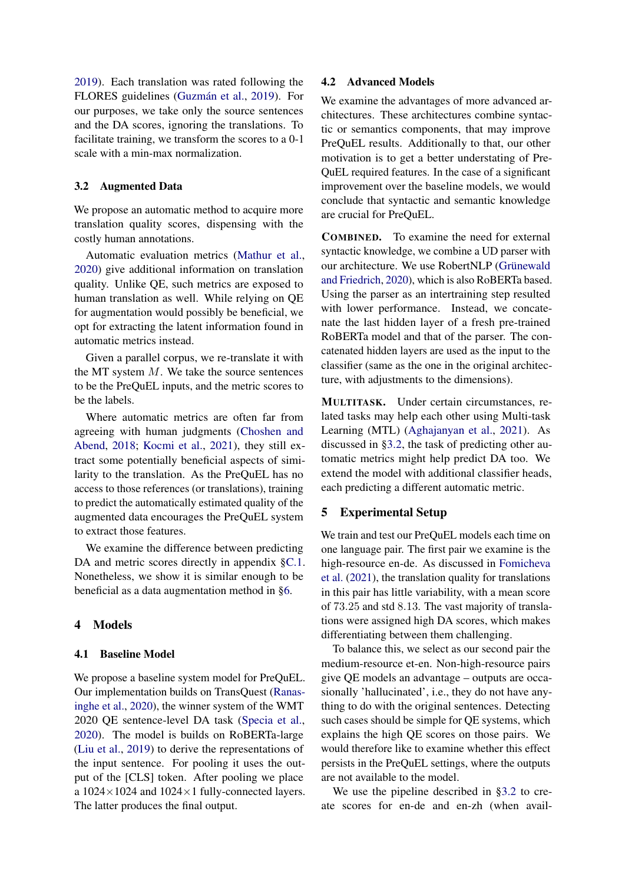[2019\)](#page-9-3). Each translation was rated following the FLORES guidelines [\(Guzmán et al.,](#page-9-4) [2019\)](#page-9-4). For our purposes, we take only the source sentences and the DA scores, ignoring the translations. To facilitate training, we transform the scores to a 0-1 scale with a min-max normalization.

#### <span id="page-2-0"></span>3.2 Augmented Data

We propose an automatic method to acquire more translation quality scores, dispensing with the costly human annotations.

Automatic evaluation metrics [\(Mathur et al.,](#page-9-5) [2020\)](#page-9-5) give additional information on translation quality. Unlike QE, such metrics are exposed to human translation as well. While relying on QE for augmentation would possibly be beneficial, we opt for extracting the latent information found in automatic metrics instead.

Given a parallel corpus, we re-translate it with the MT system  $M$ . We take the source sentences to be the PreQuEL inputs, and the metric scores to be the labels.

Where automatic metrics are often far from agreeing with human judgments [\(Choshen and](#page-8-3) [Abend,](#page-8-3) [2018;](#page-8-3) [Kocmi et al.,](#page-9-6) [2021\)](#page-9-6), they still extract some potentially beneficial aspects of similarity to the translation. As the PreQuEL has no access to those references (or translations), training to predict the automatically estimated quality of the augmented data encourages the PreQuEL system to extract those features.

We examine the difference between predicting DA and metric scores directly in appendix  $\S$ C.1. Nonetheless, we show it is similar enough to be beneficial as a data augmentation method in [§6.](#page-3-0)

## 4 Models

#### 4.1 Baseline Model

We propose a baseline system model for PreQuEL. Our implementation builds on TransQuest [\(Ranas](#page-10-5)[inghe et al.,](#page-10-5) [2020\)](#page-10-5), the winner system of the WMT 2020 QE sentence-level DA task [\(Specia et al.,](#page-10-3) [2020\)](#page-10-3). The model is builds on RoBERTa-large [\(Liu et al.,](#page-9-7) [2019\)](#page-9-7) to derive the representations of the input sentence. For pooling it uses the output of the [CLS] token. After pooling we place a  $1024 \times 1024$  and  $1024 \times 1$  fully-connected layers. The latter produces the final output.

#### <span id="page-2-1"></span>4.2 Advanced Models

We examine the advantages of more advanced architectures. These architectures combine syntactic or semantics components, that may improve PreQuEL results. Additionally to that, our other motivation is to get a better understating of Pre-QuEL required features. In the case of a significant improvement over the baseline models, we would conclude that syntactic and semantic knowledge are crucial for PreQuEL.

COMBINED. To examine the need for external syntactic knowledge, we combine a UD parser with our architecture. We use RobertNLP [\(Grünewald](#page-9-8) [and Friedrich,](#page-9-8) [2020\)](#page-9-8), which is also RoBERTa based. Using the parser as an intertraining step resulted with lower performance. Instead, we concatenate the last hidden layer of a fresh pre-trained RoBERTa model and that of the parser. The concatenated hidden layers are used as the input to the classifier (same as the one in the original architecture, with adjustments to the dimensions).

MULTITASK. Under certain circumstances, related tasks may help each other using Multi-task Learning (MTL) [\(Aghajanyan et al.,](#page-8-4) [2021\)](#page-8-4). As discussed in [§3.2,](#page-2-0) the task of predicting other automatic metrics might help predict DA too. We extend the model with additional classifier heads, each predicting a different automatic metric.

## <span id="page-2-2"></span>5 Experimental Setup

We train and test our PreQuEL models each time on one language pair. The first pair we examine is the high-resource en-de. As discussed in [Fomicheva](#page-9-9) [et al.](#page-9-9) [\(2021\)](#page-9-9), the translation quality for translations in this pair has little variability, with a mean score of 73.25 and std 8.13. The vast majority of translations were assigned high DA scores, which makes differentiating between them challenging.

To balance this, we select as our second pair the medium-resource et-en. Non-high-resource pairs give QE models an advantage – outputs are occasionally 'hallucinated', i.e., they do not have anything to do with the original sentences. Detecting such cases should be simple for QE systems, which explains the high QE scores on those pairs. We would therefore like to examine whether this effect persists in the PreQuEL settings, where the outputs are not available to the model.

We use the pipeline described in [§3.2](#page-2-0) to create scores for en-de and en-zh (when avail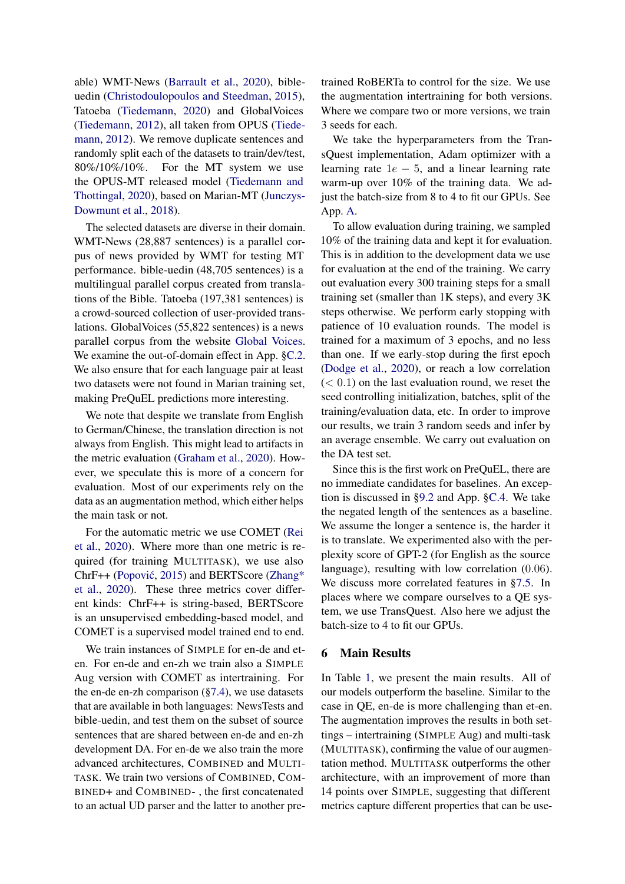able) WMT-News [\(Barrault et al.,](#page-8-1) [2020\)](#page-8-1), bibleuedin [\(Christodoulopoulos and Steedman,](#page-8-5) [2015\)](#page-8-5), Tatoeba [\(Tiedemann,](#page-10-6) [2020\)](#page-10-6) and GlobalVoices [\(Tiedemann,](#page-10-7) [2012\)](#page-10-7), all taken from OPUS [\(Tiede](#page-10-7)[mann,](#page-10-7) [2012\)](#page-10-7). We remove duplicate sentences and randomly split each of the datasets to train/dev/test, 80%/10%/10%. For the MT system we use the OPUS-MT released model [\(Tiedemann and](#page-10-8) [Thottingal,](#page-10-8) [2020\)](#page-10-8), based on Marian-MT [\(Junczys-](#page-9-10)[Dowmunt et al.,](#page-9-10) [2018\)](#page-9-10).

The selected datasets are diverse in their domain. WMT-News (28,887 sentences) is a parallel corpus of news provided by WMT for testing MT performance. bible-uedin (48,705 sentences) is a multilingual parallel corpus created from translations of the Bible. Tatoeba (197,381 sentences) is a crowd-sourced collection of user-provided translations. GlobalVoices (55,822 sentences) is a news parallel corpus from the website [Global Voices.](https://globalvoices.org/) We examine the out-of-domain effect in App. [§C.2.](#page-11-1) We also ensure that for each language pair at least two datasets were not found in Marian training set, making PreQuEL predictions more interesting.

We note that despite we translate from English to German/Chinese, the translation direction is not always from English. This might lead to artifacts in the metric evaluation [\(Graham et al.,](#page-9-11) [2020\)](#page-9-11). However, we speculate this is more of a concern for evaluation. Most of our experiments rely on the data as an augmentation method, which either helps the main task or not.

For the automatic metric we use COMET [\(Rei](#page-10-9) [et al.,](#page-10-9) [2020\)](#page-10-9). Where more than one metric is required (for training MULTITASK), we use also ChrF++ (Popović, [2015\)](#page-10-10) and BERTScore [\(Zhang\\*](#page-10-11) [et al.,](#page-10-11) [2020\)](#page-10-11). These three metrics cover different kinds: ChrF++ is string-based, BERTScore is an unsupervised embedding-based model, and COMET is a supervised model trained end to end.

We train instances of SIMPLE for en-de and eten. For en-de and en-zh we train also a SIMPLE Aug version with COMET as intertraining. For the en-de en-zh comparison  $(\S7.4)$ , we use datasets that are available in both languages: NewsTests and bible-uedin, and test them on the subset of source sentences that are shared between en-de and en-zh development DA. For en-de we also train the more advanced architectures, COMBINED and MULTI-TASK. We train two versions of COMBINED, COM-BINED+ and COMBINED- , the first concatenated to an actual UD parser and the latter to another pretrained RoBERTa to control for the size. We use the augmentation intertraining for both versions. Where we compare two or more versions, we train 3 seeds for each.

We take the hyperparameters from the TransQuest implementation, Adam optimizer with a learning rate  $1e - 5$ , and a linear learning rate warm-up over 10% of the training data. We adjust the batch-size from 8 to 4 to fit our GPUs. See App. [A.](#page-10-12)

To allow evaluation during training, we sampled 10% of the training data and kept it for evaluation. This is in addition to the development data we use for evaluation at the end of the training. We carry out evaluation every 300 training steps for a small training set (smaller than 1K steps), and every 3K steps otherwise. We perform early stopping with patience of 10 evaluation rounds. The model is trained for a maximum of 3 epochs, and no less than one. If we early-stop during the first epoch [\(Dodge et al.,](#page-9-12) [2020\)](#page-9-12), or reach a low correlation  $(< 0.1)$  on the last evaluation round, we reset the seed controlling initialization, batches, split of the training/evaluation data, etc. In order to improve our results, we train 3 random seeds and infer by an average ensemble. We carry out evaluation on the DA test set.

Since this is the first work on PreQuEL, there are no immediate candidates for baselines. An exception is discussed in [§9.2](#page-7-0) and App. [§C.4.](#page-11-2) We take the negated length of the sentences as a baseline. We assume the longer a sentence is, the harder it is to translate. We experimented also with the perplexity score of GPT-2 (for English as the source language), resulting with low correlation (0.06). We discuss more correlated features in [§7.5.](#page-6-1) In places where we compare ourselves to a QE system, we use TransQuest. Also here we adjust the batch-size to 4 to fit our GPUs.

#### <span id="page-3-0"></span>6 Main Results

In Table [1,](#page-4-2) we present the main results. All of our models outperform the baseline. Similar to the case in QE, en-de is more challenging than et-en. The augmentation improves the results in both settings – intertraining (SIMPLE Aug) and multi-task (MULTITASK), confirming the value of our augmentation method. MULTITASK outperforms the other architecture, with an improvement of more than 14 points over SIMPLE, suggesting that different metrics capture different properties that can be use-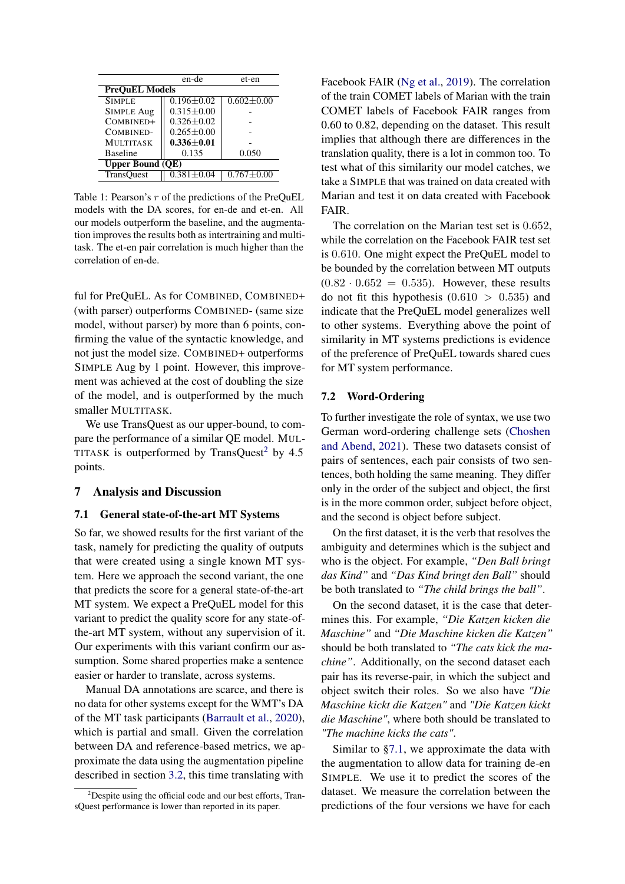<span id="page-4-2"></span>

|                         | en-de            | et-en            |  |  |  |
|-------------------------|------------------|------------------|--|--|--|
| <b>PreOuEL Models</b>   |                  |                  |  |  |  |
| <b>SIMPLE</b>           | $0.196 + 0.02$   | $0.602 \pm 0.00$ |  |  |  |
| <b>SIMPLE Aug</b>       | $0.315 \pm 0.00$ |                  |  |  |  |
| COMBINED+               | $0.326 \pm 0.02$ |                  |  |  |  |
| COMBINED-               | $0.265 \pm 0.00$ |                  |  |  |  |
| <b>MULTITASK</b>        | $0.336 \pm 0.01$ |                  |  |  |  |
| <b>Baseline</b>         | 0.135            | 0.050            |  |  |  |
| <b>Upper Bound (QE)</b> |                  |                  |  |  |  |
| <b>TransQuest</b>       | $0.381 \pm 0.04$ | $0.767 \pm 0.00$ |  |  |  |

Table 1: Pearson's  $r$  of the predictions of the PreQuEL models with the DA scores, for en-de and et-en. All our models outperform the baseline, and the augmentation improves the results both as intertraining and multitask. The et-en pair correlation is much higher than the correlation of en-de.

ful for PreQuEL. As for COMBINED, COMBINED+ (with parser) outperforms COMBINED- (same size model, without parser) by more than 6 points, confirming the value of the syntactic knowledge, and not just the model size. COMBINED+ outperforms SIMPLE Aug by 1 point. However, this improvement was achieved at the cost of doubling the size of the model, and is outperformed by the much smaller MULTITASK.

We use TransQuest as our upper-bound, to compare the performance of a similar QE model. MUL-TITASK is outperformed by TransQuest<sup>[2](#page-4-3)</sup> by 4.5 points.

#### 7 Analysis and Discussion

#### <span id="page-4-0"></span>7.1 General state-of-the-art MT Systems

So far, we showed results for the first variant of the task, namely for predicting the quality of outputs that were created using a single known MT system. Here we approach the second variant, the one that predicts the score for a general state-of-the-art MT system. We expect a PreQuEL model for this variant to predict the quality score for any state-ofthe-art MT system, without any supervision of it. Our experiments with this variant confirm our assumption. Some shared properties make a sentence easier or harder to translate, across systems.

Manual DA annotations are scarce, and there is no data for other systems except for the WMT's DA of the MT task participants [\(Barrault et al.,](#page-8-1) [2020\)](#page-8-1), which is partial and small. Given the correlation between DA and reference-based metrics, we approximate the data using the augmentation pipeline described in section [3.2,](#page-2-0) this time translating with

Facebook FAIR [\(Ng et al.,](#page-9-13) [2019\)](#page-9-13). The correlation of the train COMET labels of Marian with the train COMET labels of Facebook FAIR ranges from 0.60 to 0.82, depending on the dataset. This result implies that although there are differences in the translation quality, there is a lot in common too. To test what of this similarity our model catches, we take a SIMPLE that was trained on data created with Marian and test it on data created with Facebook FAIR.

The correlation on the Marian test set is 0.652, while the correlation on the Facebook FAIR test set is 0.610. One might expect the PreQuEL model to be bounded by the correlation between MT outputs  $(0.82 \cdot 0.652 = 0.535)$ . However, these results do not fit this hypothesis  $(0.610 > 0.535)$  and indicate that the PreQuEL model generalizes well to other systems. Everything above the point of similarity in MT systems predictions is evidence of the preference of PreQuEL towards shared cues for MT system performance.

#### <span id="page-4-1"></span>7.2 Word-Ordering

To further investigate the role of syntax, we use two German word-ordering challenge sets [\(Choshen](#page-8-6) [and Abend,](#page-8-6) [2021\)](#page-8-6). These two datasets consist of pairs of sentences, each pair consists of two sentences, both holding the same meaning. They differ only in the order of the subject and object, the first is in the more common order, subject before object, and the second is object before subject.

On the first dataset, it is the verb that resolves the ambiguity and determines which is the subject and who is the object. For example, *"Den Ball bringt das Kind"* and *"Das Kind bringt den Ball"* should be both translated to *"The child brings the ball"*.

On the second dataset, it is the case that determines this. For example, *"Die Katzen kicken die Maschine"* and *"Die Maschine kicken die Katzen"* should be both translated to *"The cats kick the machine"*. Additionally, on the second dataset each pair has its reverse-pair, in which the subject and object switch their roles. So we also have *"Die Maschine kickt die Katzen"* and *"Die Katzen kickt die Maschine"*, where both should be translated to *"The machine kicks the cats"*.

Similar to [§7.1,](#page-4-0) we approximate the data with the augmentation to allow data for training de-en SIMPLE. We use it to predict the scores of the dataset. We measure the correlation between the predictions of the four versions we have for each

<span id="page-4-3"></span> $2^2$ Despite using the official code and our best efforts, TransQuest performance is lower than reported in its paper.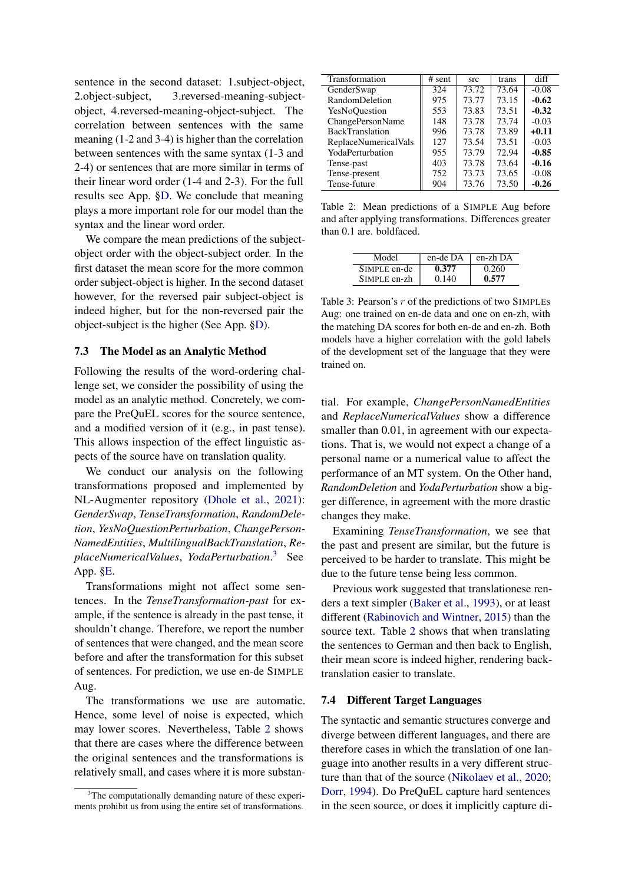sentence in the second dataset: 1.subject-object, 2.object-subject, 3.reversed-meaning-subjectobject, 4.reversed-meaning-object-subject. The correlation between sentences with the same meaning (1-2 and 3-4) is higher than the correlation between sentences with the same syntax (1-3 and 2-4) or sentences that are more similar in terms of their linear word order (1-4 and 2-3). For the full results see App. [§D.](#page-11-3) We conclude that meaning plays a more important role for our model than the syntax and the linear word order.

We compare the mean predictions of the subjectobject order with the object-subject order. In the first dataset the mean score for the more common order subject-object is higher. In the second dataset however, for the reversed pair subject-object is indeed higher, but for the non-reversed pair the object-subject is the higher (See App. [§D\)](#page-11-3).

## 7.3 The Model as an Analytic Method

Following the results of the word-ordering challenge set, we consider the possibility of using the model as an analytic method. Concretely, we compare the PreQuEL scores for the source sentence, and a modified version of it (e.g., in past tense). This allows inspection of the effect linguistic aspects of the source have on translation quality.

We conduct our analysis on the following transformations proposed and implemented by NL-Augmenter repository [\(Dhole et al.,](#page-8-7) [2021\)](#page-8-7): *GenderSwap*, *TenseTransformation*, *RandomDeletion*, *YesNoQuestionPerturbation*, *ChangePerson-NamedEntities*, *MultilingualBackTranslation*, *ReplaceNumericalValues*, *YodaPerturbation*. [3](#page-5-1) See App. [§E.](#page-11-4)

Transformations might not affect some sentences. In the *TenseTransformation-past* for example, if the sentence is already in the past tense, it shouldn't change. Therefore, we report the number of sentences that were changed, and the mean score before and after the transformation for this subset of sentences. For prediction, we use en-de SIMPLE Aug.

The transformations we use are automatic. Hence, some level of noise is expected, which may lower scores. Nevertheless, Table [2](#page-5-2) shows that there are cases where the difference between the original sentences and the transformations is relatively small, and cases where it is more substan-

<span id="page-5-2"></span>

| Transformation              | # sent | src   | trans | diff    |
|-----------------------------|--------|-------|-------|---------|
| GenderSwap                  | 324    | 73.72 | 73.64 | $-0.08$ |
| RandomDeletion              | 975    | 73.77 | 73.15 | $-0.62$ |
| YesNoOuestion               | 553    | 73.83 | 73.51 | $-0.32$ |
| ChangePersonName            | 148    | 73.78 | 73.74 | $-0.03$ |
| <b>BackTranslation</b>      | 996    | 73.78 | 73.89 | $+0.11$ |
| <b>ReplaceNumericalVals</b> | 127    | 73.54 | 73.51 | $-0.03$ |
| YodaPerturbation            | 955    | 73.79 | 72.94 | $-0.85$ |
| Tense-past                  | 403    | 73.78 | 73.64 | $-0.16$ |
| Tense-present               | 752    | 73.73 | 73.65 | $-0.08$ |
| Tense-future                | 904    | 73.76 | 73.50 | $-0.26$ |

Table 2: Mean predictions of a SIMPLE Aug before and after applying transformations. Differences greater than 0.1 are. boldfaced.

<span id="page-5-3"></span>

| Model        | en-de DA | en-zh DA |
|--------------|----------|----------|
| SIMPLE en-de | 0.377    | 0.260    |
| SIMPLE en-zh | 0.140    | 0.577    |

Table 3: Pearson's  $r$  of the predictions of two SIMPLEs Aug: one trained on en-de data and one on en-zh, with the matching DA scores for both en-de and en-zh. Both models have a higher correlation with the gold labels of the development set of the language that they were trained on.

tial. For example, *ChangePersonNamedEntities* and *ReplaceNumericalValues* show a difference smaller than 0.01, in agreement with our expectations. That is, we would not expect a change of a personal name or a numerical value to affect the performance of an MT system. On the Other hand, *RandomDeletion* and *YodaPerturbation* show a bigger difference, in agreement with the more drastic changes they make.

Examining *TenseTransformation*, we see that the past and present are similar, but the future is perceived to be harder to translate. This might be due to the future tense being less common.

Previous work suggested that translationese renders a text simpler [\(Baker et al.,](#page-8-8) [1993\)](#page-8-8), or at least different [\(Rabinovich and Wintner,](#page-10-13) [2015\)](#page-10-13) than the source text. Table [2](#page-5-2) shows that when translating the sentences to German and then back to English, their mean score is indeed higher, rendering backtranslation easier to translate.

#### <span id="page-5-0"></span>7.4 Different Target Languages

The syntactic and semantic structures converge and diverge between different languages, and there are therefore cases in which the translation of one language into another results in a very different structure than that of the source [\(Nikolaev et al.,](#page-9-14) [2020;](#page-9-14) [Dorr,](#page-9-15) [1994\)](#page-9-15). Do PreQuEL capture hard sentences in the seen source, or does it implicitly capture di-

<span id="page-5-1"></span><sup>&</sup>lt;sup>3</sup>The computationally demanding nature of these experiments prohibit us from using the entire set of transformations.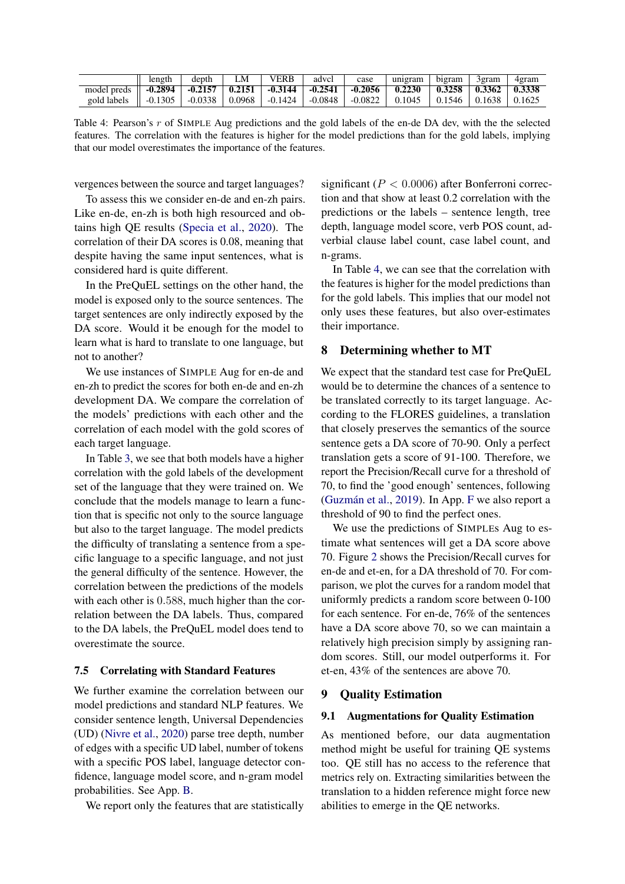<span id="page-6-2"></span>

|                                                                                                                                                                                                                | length | depth | LM | <b>VERB</b> | advcl | case | unigram | bigram                                       | 3gram | 4gram |
|----------------------------------------------------------------------------------------------------------------------------------------------------------------------------------------------------------------|--------|-------|----|-------------|-------|------|---------|----------------------------------------------|-------|-------|
| model preds $\parallel$ -0.2894 $\parallel$ -0.2157 $\parallel$ 0.2151 $\parallel$ -0.3144 $\parallel$ -0.2541 $\parallel$ -0.2056 $\parallel$ 0.2230 $\parallel$ 0.3258 $\parallel$ 0.3362 $\parallel$ 0.3338 |        |       |    |             |       |      |         |                                              |       |       |
| gold labels $\parallel$ -0.1305 $\parallel$ -0.0338 $\parallel$ 0.0968 $\parallel$ -0.1424 $\parallel$ -0.0848 $\parallel$ -0.0822 $\parallel$ 0.1045 $\parallel$                                              |        |       |    |             |       |      |         | $\vert$ 0.1546 $\vert$ 0.1638 $\vert$ 0.1625 |       |       |

Table 4: Pearson's r of SIMPLE Aug predictions and the gold labels of the en-de DA dev, with the the selected features. The correlation with the features is higher for the model predictions than for the gold labels, implying that our model overestimates the importance of the features.

vergences between the source and target languages?

To assess this we consider en-de and en-zh pairs. Like en-de, en-zh is both high resourced and obtains high QE results [\(Specia et al.,](#page-10-3) [2020\)](#page-10-3). The correlation of their DA scores is 0.08, meaning that despite having the same input sentences, what is considered hard is quite different.

In the PreQuEL settings on the other hand, the model is exposed only to the source sentences. The target sentences are only indirectly exposed by the DA score. Would it be enough for the model to learn what is hard to translate to one language, but not to another?

We use instances of SIMPLE Aug for en-de and en-zh to predict the scores for both en-de and en-zh development DA. We compare the correlation of the models' predictions with each other and the correlation of each model with the gold scores of each target language.

In Table [3,](#page-5-3) we see that both models have a higher correlation with the gold labels of the development set of the language that they were trained on. We conclude that the models manage to learn a function that is specific not only to the source language but also to the target language. The model predicts the difficulty of translating a sentence from a specific language to a specific language, and not just the general difficulty of the sentence. However, the correlation between the predictions of the models with each other is 0.588, much higher than the correlation between the DA labels. Thus, compared to the DA labels, the PreQuEL model does tend to overestimate the source.

#### <span id="page-6-1"></span>7.5 Correlating with Standard Features

We further examine the correlation between our model predictions and standard NLP features. We consider sentence length, Universal Dependencies (UD) [\(Nivre et al.,](#page-9-16) [2020\)](#page-9-16) parse tree depth, number of edges with a specific UD label, number of tokens with a specific POS label, language detector confidence, language model score, and n-gram model probabilities. See App. [B.](#page-10-14)

We report only the features that are statistically

significant ( $P < 0.0006$ ) after Bonferroni correction and that show at least 0.2 correlation with the predictions or the labels – sentence length, tree depth, language model score, verb POS count, adverbial clause label count, case label count, and n-grams.

In Table [4,](#page-6-2) we can see that the correlation with the features is higher for the model predictions than for the gold labels. This implies that our model not only uses these features, but also over-estimates their importance.

# 8 Determining whether to MT

We expect that the standard test case for PreQuEL would be to determine the chances of a sentence to be translated correctly to its target language. According to the FLORES guidelines, a translation that closely preserves the semantics of the source sentence gets a DA score of 70-90. Only a perfect translation gets a score of 91-100. Therefore, we report the Precision/Recall curve for a threshold of 70, to find the 'good enough' sentences, following [\(Guzmán et al.,](#page-9-4) [2019\)](#page-9-4). In App. [F](#page-12-0) we also report a threshold of 90 to find the perfect ones.

We use the predictions of SIMPLEs Aug to estimate what sentences will get a DA score above 70. Figure [2](#page-7-1) shows the Precision/Recall curves for en-de and et-en, for a DA threshold of 70. For comparison, we plot the curves for a random model that uniformly predicts a random score between 0-100 for each sentence. For en-de, 76% of the sentences have a DA score above 70, so we can maintain a relatively high precision simply by assigning random scores. Still, our model outperforms it. For et-en, 43% of the sentences are above 70.

#### <span id="page-6-0"></span>9 Quality Estimation

## 9.1 Augmentations for Quality Estimation

As mentioned before, our data augmentation method might be useful for training QE systems too. QE still has no access to the reference that metrics rely on. Extracting similarities between the translation to a hidden reference might force new abilities to emerge in the QE networks.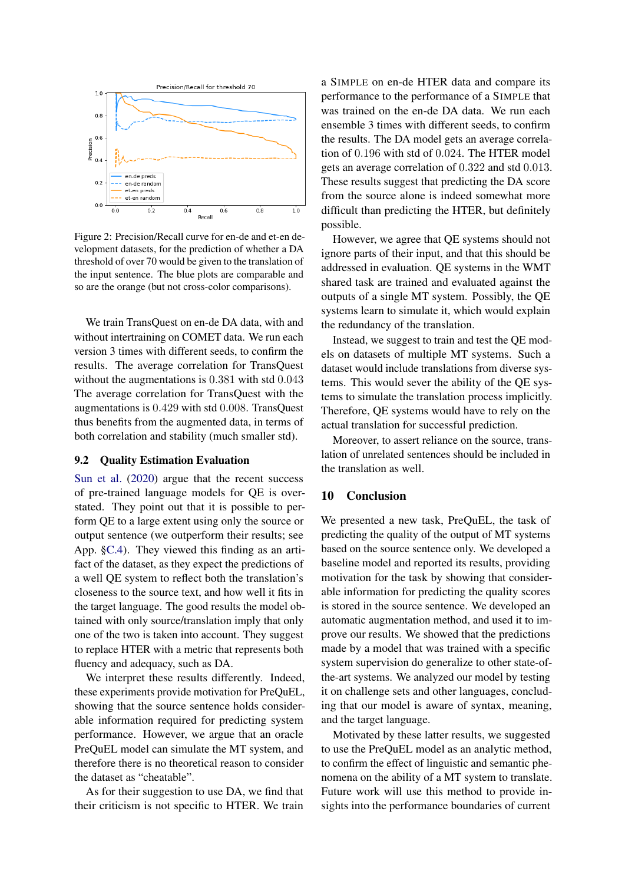<span id="page-7-1"></span>

Figure 2: Precision/Recall curve for en-de and et-en development datasets, for the prediction of whether a DA threshold of over 70 would be given to the translation of the input sentence. The blue plots are comparable and so are the orange (but not cross-color comparisons).

We train TransQuest on en-de DA data, with and without intertraining on COMET data. We run each version 3 times with different seeds, to confirm the results. The average correlation for TransQuest without the augmentations is  $0.381$  with std  $0.043$ The average correlation for TransQuest with the augmentations is 0.429 with std 0.008. TransQuest thus benefits from the augmented data, in terms of both correlation and stability (much smaller std).

# <span id="page-7-0"></span>9.2 Quality Estimation Evaluation

[Sun et al.](#page-10-2) [\(2020\)](#page-10-2) argue that the recent success of pre-trained language models for QE is overstated. They point out that it is possible to perform QE to a large extent using only the source or output sentence (we outperform their results; see App. [§C.4\)](#page-11-2). They viewed this finding as an artifact of the dataset, as they expect the predictions of a well QE system to reflect both the translation's closeness to the source text, and how well it fits in the target language. The good results the model obtained with only source/translation imply that only one of the two is taken into account. They suggest to replace HTER with a metric that represents both fluency and adequacy, such as DA.

We interpret these results differently. Indeed, these experiments provide motivation for PreQuEL, showing that the source sentence holds considerable information required for predicting system performance. However, we argue that an oracle PreQuEL model can simulate the MT system, and therefore there is no theoretical reason to consider the dataset as "cheatable".

As for their suggestion to use DA, we find that their criticism is not specific to HTER. We train a SIMPLE on en-de HTER data and compare its performance to the performance of a SIMPLE that was trained on the en-de DA data. We run each ensemble 3 times with different seeds, to confirm the results. The DA model gets an average correlation of 0.196 with std of 0.024. The HTER model gets an average correlation of 0.322 and std 0.013. These results suggest that predicting the DA score from the source alone is indeed somewhat more difficult than predicting the HTER, but definitely possible.

However, we agree that QE systems should not ignore parts of their input, and that this should be addressed in evaluation. QE systems in the WMT shared task are trained and evaluated against the outputs of a single MT system. Possibly, the QE systems learn to simulate it, which would explain the redundancy of the translation.

Instead, we suggest to train and test the QE models on datasets of multiple MT systems. Such a dataset would include translations from diverse systems. This would sever the ability of the QE systems to simulate the translation process implicitly. Therefore, QE systems would have to rely on the actual translation for successful prediction.

Moreover, to assert reliance on the source, translation of unrelated sentences should be included in the translation as well.

#### 10 Conclusion

We presented a new task, PreQuEL, the task of predicting the quality of the output of MT systems based on the source sentence only. We developed a baseline model and reported its results, providing motivation for the task by showing that considerable information for predicting the quality scores is stored in the source sentence. We developed an automatic augmentation method, and used it to improve our results. We showed that the predictions made by a model that was trained with a specific system supervision do generalize to other state-ofthe-art systems. We analyzed our model by testing it on challenge sets and other languages, concluding that our model is aware of syntax, meaning, and the target language.

Motivated by these latter results, we suggested to use the PreQuEL model as an analytic method, to confirm the effect of linguistic and semantic phenomena on the ability of a MT system to translate. Future work will use this method to provide insights into the performance boundaries of current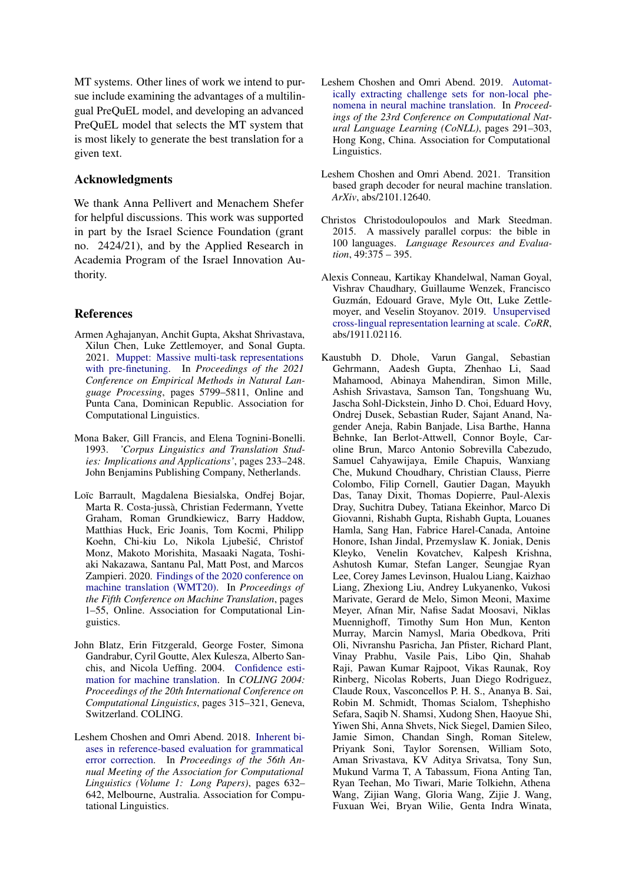MT systems. Other lines of work we intend to pursue include examining the advantages of a multilingual PreQuEL model, and developing an advanced PreQuEL model that selects the MT system that is most likely to generate the best translation for a given text.

# Acknowledgments

We thank Anna Pellivert and Menachem Shefer for helpful discussions. This work was supported in part by the Israel Science Foundation (grant no. 2424/21), and by the Applied Research in Academia Program of the Israel Innovation Authority.

# References

- <span id="page-8-4"></span>Armen Aghajanyan, Anchit Gupta, Akshat Shrivastava, Xilun Chen, Luke Zettlemoyer, and Sonal Gupta. 2021. [Muppet: Massive multi-task representations](https://doi.org/10.18653/v1/2021.emnlp-main.468) [with pre-finetuning.](https://doi.org/10.18653/v1/2021.emnlp-main.468) In *Proceedings of the 2021 Conference on Empirical Methods in Natural Language Processing*, pages 5799–5811, Online and Punta Cana, Dominican Republic. Association for Computational Linguistics.
- <span id="page-8-8"></span>Mona Baker, Gill Francis, and Elena Tognini-Bonelli. 1993. *'Corpus Linguistics and Translation Studies: Implications and Applications'*, pages 233–248. John Benjamins Publishing Company, Netherlands.
- <span id="page-8-1"></span>Loïc Barrault, Magdalena Biesialska, Ondřej Bojar, Marta R. Costa-jussà, Christian Federmann, Yvette Graham, Roman Grundkiewicz, Barry Haddow, Matthias Huck, Eric Joanis, Tom Kocmi, Philipp Koehn, Chi-kiu Lo, Nikola Ljubešic, Christof ´ Monz, Makoto Morishita, Masaaki Nagata, Toshiaki Nakazawa, Santanu Pal, Matt Post, and Marcos Zampieri. 2020. [Findings of the 2020 conference on](https://aclanthology.org/2020.wmt-1.1) [machine translation \(WMT20\).](https://aclanthology.org/2020.wmt-1.1) In *Proceedings of the Fifth Conference on Machine Translation*, pages 1–55, Online. Association for Computational Linguistics.
- <span id="page-8-0"></span>John Blatz, Erin Fitzgerald, George Foster, Simona Gandrabur, Cyril Goutte, Alex Kulesza, Alberto Sanchis, and Nicola Ueffing. 2004. [Confidence esti](https://aclanthology.org/C04-1046)[mation for machine translation.](https://aclanthology.org/C04-1046) In *COLING 2004: Proceedings of the 20th International Conference on Computational Linguistics*, pages 315–321, Geneva, Switzerland. COLING.
- <span id="page-8-3"></span>Leshem Choshen and Omri Abend. 2018. [Inherent bi](https://doi.org/10.18653/v1/P18-1059)[ases in reference-based evaluation for grammatical](https://doi.org/10.18653/v1/P18-1059) [error correction.](https://doi.org/10.18653/v1/P18-1059) In *Proceedings of the 56th Annual Meeting of the Association for Computational Linguistics (Volume 1: Long Papers)*, pages 632– 642, Melbourne, Australia. Association for Computational Linguistics.
- <span id="page-8-2"></span>Leshem Choshen and Omri Abend. 2019. [Automat](https://doi.org/10.18653/v1/K19-1028)[ically extracting challenge sets for non-local phe](https://doi.org/10.18653/v1/K19-1028)[nomena in neural machine translation.](https://doi.org/10.18653/v1/K19-1028) In *Proceedings of the 23rd Conference on Computational Natural Language Learning (CoNLL)*, pages 291–303, Hong Kong, China. Association for Computational Linguistics.
- <span id="page-8-6"></span>Leshem Choshen and Omri Abend. 2021. Transition based graph decoder for neural machine translation. *ArXiv*, abs/2101.12640.
- <span id="page-8-5"></span>Christos Christodoulopoulos and Mark Steedman. 2015. A massively parallel corpus: the bible in 100 languages. *Language Resources and Evaluation*, 49:375 – 395.
- <span id="page-8-9"></span>Alexis Conneau, Kartikay Khandelwal, Naman Goyal, Vishrav Chaudhary, Guillaume Wenzek, Francisco Guzmán, Edouard Grave, Myle Ott, Luke Zettlemoyer, and Veselin Stoyanov. 2019. [Unsupervised](http://arxiv.org/abs/1911.02116) [cross-lingual representation learning at scale.](http://arxiv.org/abs/1911.02116) *CoRR*, abs/1911.02116.
- <span id="page-8-7"></span>Kaustubh D. Dhole, Varun Gangal, Sebastian Gehrmann, Aadesh Gupta, Zhenhao Li, Saad Mahamood, Abinaya Mahendiran, Simon Mille, Ashish Srivastava, Samson Tan, Tongshuang Wu, Jascha Sohl-Dickstein, Jinho D. Choi, Eduard Hovy, Ondrej Dusek, Sebastian Ruder, Sajant Anand, Nagender Aneja, Rabin Banjade, Lisa Barthe, Hanna Behnke, Ian Berlot-Attwell, Connor Boyle, Caroline Brun, Marco Antonio Sobrevilla Cabezudo, Samuel Cahyawijaya, Emile Chapuis, Wanxiang Che, Mukund Choudhary, Christian Clauss, Pierre Colombo, Filip Cornell, Gautier Dagan, Mayukh Das, Tanay Dixit, Thomas Dopierre, Paul-Alexis Dray, Suchitra Dubey, Tatiana Ekeinhor, Marco Di Giovanni, Rishabh Gupta, Rishabh Gupta, Louanes Hamla, Sang Han, Fabrice Harel-Canada, Antoine Honore, Ishan Jindal, Przemyslaw K. Joniak, Denis Kleyko, Venelin Kovatchev, Kalpesh Krishna, Ashutosh Kumar, Stefan Langer, Seungjae Ryan Lee, Corey James Levinson, Hualou Liang, Kaizhao Liang, Zhexiong Liu, Andrey Lukyanenko, Vukosi Marivate, Gerard de Melo, Simon Meoni, Maxime Meyer, Afnan Mir, Nafise Sadat Moosavi, Niklas Muennighoff, Timothy Sum Hon Mun, Kenton Murray, Marcin Namysl, Maria Obedkova, Priti Oli, Nivranshu Pasricha, Jan Pfister, Richard Plant, Vinay Prabhu, Vasile Pais, Libo Qin, Shahab Raji, Pawan Kumar Rajpoot, Vikas Raunak, Roy Rinberg, Nicolas Roberts, Juan Diego Rodriguez, Claude Roux, Vasconcellos P. H. S., Ananya B. Sai, Robin M. Schmidt, Thomas Scialom, Tshephisho Sefara, Saqib N. Shamsi, Xudong Shen, Haoyue Shi, Yiwen Shi, Anna Shvets, Nick Siegel, Damien Sileo, Jamie Simon, Chandan Singh, Roman Sitelew, Priyank Soni, Taylor Sorensen, William Soto, Aman Srivastava, KV Aditya Srivatsa, Tony Sun, Mukund Varma T, A Tabassum, Fiona Anting Tan, Ryan Teehan, Mo Tiwari, Marie Tolkiehn, Athena Wang, Zijian Wang, Gloria Wang, Zijie J. Wang, Fuxuan Wei, Bryan Wilie, Genta Indra Winata,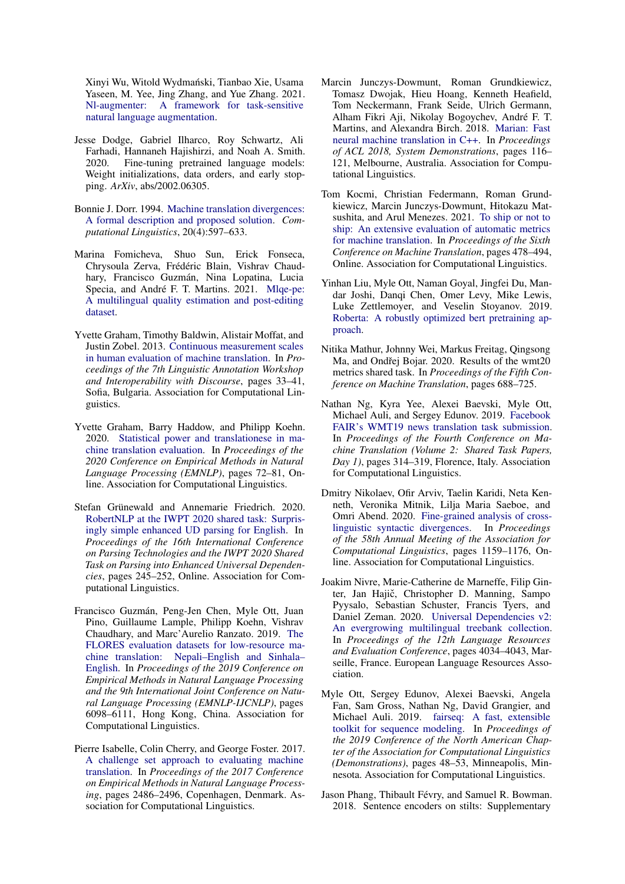Xinyi Wu, Witold Wydmański, Tianbao Xie, Usama Yaseen, M. Yee, Jing Zhang, and Yue Zhang. 2021. [Nl-augmenter: A framework for task-sensitive](http://arxiv.org/abs/2112.02721) [natural language augmentation.](http://arxiv.org/abs/2112.02721)

- <span id="page-9-12"></span>Jesse Dodge, Gabriel Ilharco, Roy Schwartz, Ali Farhadi, Hannaneh Hajishirzi, and Noah A. Smith. 2020. Fine-tuning pretrained language models: Weight initializations, data orders, and early stopping. *ArXiv*, abs/2002.06305.
- <span id="page-9-15"></span>Bonnie J. Dorr. 1994. [Machine translation divergences:](https://aclanthology.org/J94-4004) [A formal description and proposed solution.](https://aclanthology.org/J94-4004) *Computational Linguistics*, 20(4):597–633.
- <span id="page-9-9"></span>Marina Fomicheva, Shuo Sun, Erick Fonseca, Chrysoula Zerva, Frédéric Blain, Vishrav Chaudhary, Francisco Guzmán, Nina Lopatina, Lucia Specia, and André F. T. Martins. 2021. [Mlqe-pe:](http://arxiv.org/abs/2010.04480) [A multilingual quality estimation and post-editing](http://arxiv.org/abs/2010.04480) [dataset.](http://arxiv.org/abs/2010.04480)
- <span id="page-9-2"></span>Yvette Graham, Timothy Baldwin, Alistair Moffat, and Justin Zobel. 2013. [Continuous measurement scales](https://aclanthology.org/W13-2305) [in human evaluation of machine translation.](https://aclanthology.org/W13-2305) In *Proceedings of the 7th Linguistic Annotation Workshop and Interoperability with Discourse*, pages 33–41, Sofia, Bulgaria. Association for Computational Linguistics.
- <span id="page-9-11"></span>Yvette Graham, Barry Haddow, and Philipp Koehn. 2020. [Statistical power and translationese in ma](https://doi.org/10.18653/v1/2020.emnlp-main.6)[chine translation evaluation.](https://doi.org/10.18653/v1/2020.emnlp-main.6) In *Proceedings of the 2020 Conference on Empirical Methods in Natural Language Processing (EMNLP)*, pages 72–81, Online. Association for Computational Linguistics.
- <span id="page-9-8"></span>Stefan Grünewald and Annemarie Friedrich. 2020. [RobertNLP at the IWPT 2020 shared task: Surpris](https://doi.org/10.18653/v1/2020.iwpt-1.26)[ingly simple enhanced UD parsing for English.](https://doi.org/10.18653/v1/2020.iwpt-1.26) In *Proceedings of the 16th International Conference on Parsing Technologies and the IWPT 2020 Shared Task on Parsing into Enhanced Universal Dependencies*, pages 245–252, Online. Association for Computational Linguistics.
- <span id="page-9-4"></span>Francisco Guzmán, Peng-Jen Chen, Myle Ott, Juan Pino, Guillaume Lample, Philipp Koehn, Vishrav Chaudhary, and Marc'Aurelio Ranzato. 2019. [The](https://doi.org/10.18653/v1/D19-1632) [FLORES evaluation datasets for low-resource ma](https://doi.org/10.18653/v1/D19-1632)[chine translation: Nepali–English and Sinhala–](https://doi.org/10.18653/v1/D19-1632) [English.](https://doi.org/10.18653/v1/D19-1632) In *Proceedings of the 2019 Conference on Empirical Methods in Natural Language Processing and the 9th International Joint Conference on Natural Language Processing (EMNLP-IJCNLP)*, pages 6098–6111, Hong Kong, China. Association for Computational Linguistics.
- <span id="page-9-0"></span>Pierre Isabelle, Colin Cherry, and George Foster. 2017. [A challenge set approach to evaluating machine](https://doi.org/10.18653/v1/D17-1263) [translation.](https://doi.org/10.18653/v1/D17-1263) In *Proceedings of the 2017 Conference on Empirical Methods in Natural Language Processing*, pages 2486–2496, Copenhagen, Denmark. Association for Computational Linguistics.
- <span id="page-9-10"></span>Marcin Junczys-Dowmunt, Roman Grundkiewicz, Tomasz Dwojak, Hieu Hoang, Kenneth Heafield, Tom Neckermann, Frank Seide, Ulrich Germann, Alham Fikri Aji, Nikolay Bogoychev, André F. T. Martins, and Alexandra Birch. 2018. [Marian: Fast](http://www.aclweb.org/anthology/P18-4020) [neural machine translation in C++.](http://www.aclweb.org/anthology/P18-4020) In *Proceedings of ACL 2018, System Demonstrations*, pages 116– 121, Melbourne, Australia. Association for Computational Linguistics.
- <span id="page-9-6"></span>Tom Kocmi, Christian Federmann, Roman Grundkiewicz, Marcin Junczys-Dowmunt, Hitokazu Matsushita, and Arul Menezes. 2021. [To ship or not to](https://aclanthology.org/2021.wmt-1.57) [ship: An extensive evaluation of automatic metrics](https://aclanthology.org/2021.wmt-1.57) [for machine translation.](https://aclanthology.org/2021.wmt-1.57) In *Proceedings of the Sixth Conference on Machine Translation*, pages 478–494, Online. Association for Computational Linguistics.
- <span id="page-9-7"></span>Yinhan Liu, Myle Ott, Naman Goyal, Jingfei Du, Mandar Joshi, Danqi Chen, Omer Levy, Mike Lewis, Luke Zettlemoyer, and Veselin Stoyanov. 2019. [Roberta: A robustly optimized bert pretraining ap](http://arxiv.org/abs/1907.11692)[proach.](http://arxiv.org/abs/1907.11692)
- <span id="page-9-5"></span>Nitika Mathur, Johnny Wei, Markus Freitag, Qingsong Ma, and Ondřej Bojar. 2020. Results of the wmt20 metrics shared task. In *Proceedings of the Fifth Conference on Machine Translation*, pages 688–725.
- <span id="page-9-13"></span>Nathan Ng, Kyra Yee, Alexei Baevski, Myle Ott, Michael Auli, and Sergey Edunov. 2019. [Facebook](https://doi.org/10.18653/v1/W19-5333) [FAIR's WMT19 news translation task submission.](https://doi.org/10.18653/v1/W19-5333) In *Proceedings of the Fourth Conference on Machine Translation (Volume 2: Shared Task Papers, Day 1)*, pages 314–319, Florence, Italy. Association for Computational Linguistics.
- <span id="page-9-14"></span>Dmitry Nikolaev, Ofir Arviv, Taelin Karidi, Neta Kenneth, Veronika Mitnik, Lilja Maria Saeboe, and Omri Abend. 2020. [Fine-grained analysis of cross](https://doi.org/10.18653/v1/2020.acl-main.109)[linguistic syntactic divergences.](https://doi.org/10.18653/v1/2020.acl-main.109) In *Proceedings of the 58th Annual Meeting of the Association for Computational Linguistics*, pages 1159–1176, Online. Association for Computational Linguistics.
- <span id="page-9-16"></span>Joakim Nivre, Marie-Catherine de Marneffe, Filip Ginter, Jan Hajič, Christopher D. Manning, Sampo Pyysalo, Sebastian Schuster, Francis Tyers, and Daniel Zeman. 2020. [Universal Dependencies v2:](https://aclanthology.org/2020.lrec-1.497) [An evergrowing multilingual treebank collection.](https://aclanthology.org/2020.lrec-1.497) In *Proceedings of the 12th Language Resources and Evaluation Conference*, pages 4034–4043, Marseille, France. European Language Resources Association.
- <span id="page-9-3"></span>Myle Ott, Sergey Edunov, Alexei Baevski, Angela Fan, Sam Gross, Nathan Ng, David Grangier, and Michael Auli. 2019. [fairseq: A fast, extensible](https://doi.org/10.18653/v1/N19-4009) [toolkit for sequence modeling.](https://doi.org/10.18653/v1/N19-4009) In *Proceedings of the 2019 Conference of the North American Chapter of the Association for Computational Linguistics (Demonstrations)*, pages 48–53, Minneapolis, Minnesota. Association for Computational Linguistics.
- <span id="page-9-1"></span>Jason Phang, Thibault Févry, and Samuel R. Bowman. 2018. Sentence encoders on stilts: Supplementary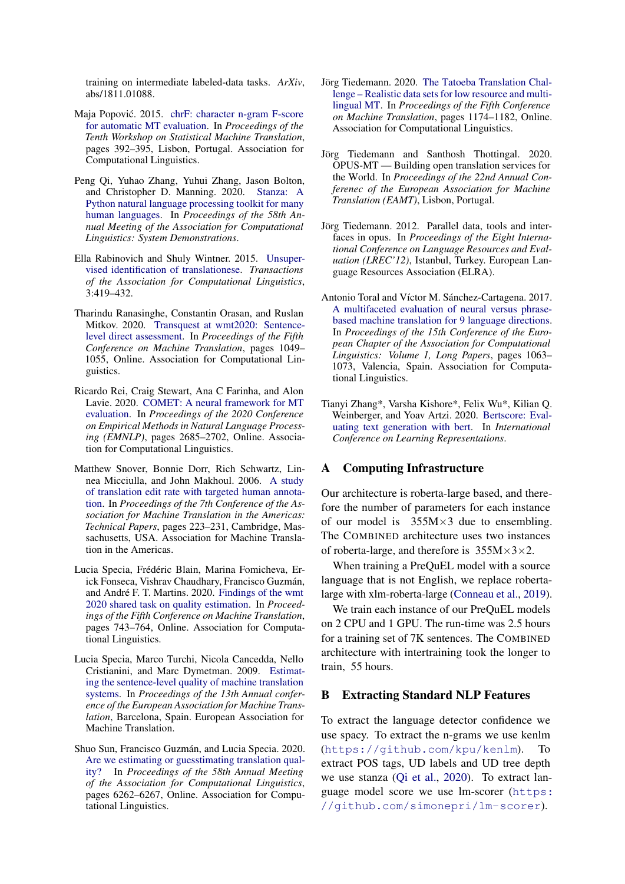training on intermediate labeled-data tasks. *ArXiv*, abs/1811.01088.

- <span id="page-10-10"></span>Maja Popović. 2015. [chrF: character n-gram F-score](https://doi.org/10.18653/v1/W15-3049) [for automatic MT evaluation.](https://doi.org/10.18653/v1/W15-3049) In *Proceedings of the Tenth Workshop on Statistical Machine Translation*, pages 392–395, Lisbon, Portugal. Association for Computational Linguistics.
- <span id="page-10-15"></span>Peng Qi, Yuhao Zhang, Yuhui Zhang, Jason Bolton, and Christopher D. Manning. 2020. [Stanza: A](https://nlp.stanford.edu/pubs/qi2020stanza.pdf) [Python natural language processing toolkit for many](https://nlp.stanford.edu/pubs/qi2020stanza.pdf) [human languages.](https://nlp.stanford.edu/pubs/qi2020stanza.pdf) In *Proceedings of the 58th Annual Meeting of the Association for Computational Linguistics: System Demonstrations*.
- <span id="page-10-13"></span>Ella Rabinovich and Shuly Wintner. 2015. [Unsuper](https://doi.org/10.1162/tacl_a_00148)[vised identification of translationese.](https://doi.org/10.1162/tacl_a_00148) *Transactions of the Association for Computational Linguistics*, 3:419–432.
- <span id="page-10-5"></span>Tharindu Ranasinghe, Constantin Orasan, and Ruslan Mitkov. 2020. [Transquest at wmt2020: Sentence](https://www.aclweb.org/anthology/2020.wmt-1.122)[level direct assessment.](https://www.aclweb.org/anthology/2020.wmt-1.122) In *Proceedings of the Fifth Conference on Machine Translation*, pages 1049– 1055, Online. Association for Computational Linguistics.
- <span id="page-10-9"></span>Ricardo Rei, Craig Stewart, Ana C Farinha, and Alon Lavie. 2020. [COMET: A neural framework for MT](https://doi.org/10.18653/v1/2020.emnlp-main.213) [evaluation.](https://doi.org/10.18653/v1/2020.emnlp-main.213) In *Proceedings of the 2020 Conference on Empirical Methods in Natural Language Processing (EMNLP)*, pages 2685–2702, Online. Association for Computational Linguistics.
- <span id="page-10-4"></span>Matthew Snover, Bonnie Dorr, Rich Schwartz, Linnea Micciulla, and John Makhoul. 2006. [A study](https://aclanthology.org/2006.amta-papers.25) [of translation edit rate with targeted human annota](https://aclanthology.org/2006.amta-papers.25)[tion.](https://aclanthology.org/2006.amta-papers.25) In *Proceedings of the 7th Conference of the Association for Machine Translation in the Americas: Technical Papers*, pages 223–231, Cambridge, Massachusetts, USA. Association for Machine Translation in the Americas.
- <span id="page-10-3"></span>Lucia Specia, Frédéric Blain, Marina Fomicheva, Erick Fonseca, Vishrav Chaudhary, Francisco Guzmán, and André F. T. Martins. 2020. [Findings of the wmt](https://www.aclweb.org/anthology/2020.wmt-1.79) [2020 shared task on quality estimation.](https://www.aclweb.org/anthology/2020.wmt-1.79) In *Proceedings of the Fifth Conference on Machine Translation*, pages 743–764, Online. Association for Computational Linguistics.
- <span id="page-10-0"></span>Lucia Specia, Marco Turchi, Nicola Cancedda, Nello Cristianini, and Marc Dymetman. 2009. [Estimat](https://aclanthology.org/2009.eamt-1.5)[ing the sentence-level quality of machine translation](https://aclanthology.org/2009.eamt-1.5) [systems.](https://aclanthology.org/2009.eamt-1.5) In *Proceedings of the 13th Annual conference of the European Association for Machine Translation*, Barcelona, Spain. European Association for Machine Translation.
- <span id="page-10-2"></span>Shuo Sun, Francisco Guzmán, and Lucia Specia. 2020. [Are we estimating or guesstimating translation qual](https://doi.org/10.18653/v1/2020.acl-main.558)[ity?](https://doi.org/10.18653/v1/2020.acl-main.558) In *Proceedings of the 58th Annual Meeting of the Association for Computational Linguistics*, pages 6262–6267, Online. Association for Computational Linguistics.
- <span id="page-10-6"></span>Jörg Tiedemann. 2020. [The Tatoeba Translation Chal](https://www.aclweb.org/anthology/2020.wmt-1.139)[lenge – Realistic data sets for low resource and multi](https://www.aclweb.org/anthology/2020.wmt-1.139)[lingual MT.](https://www.aclweb.org/anthology/2020.wmt-1.139) In *Proceedings of the Fifth Conference on Machine Translation*, pages 1174–1182, Online. Association for Computational Linguistics.
- <span id="page-10-8"></span>Jörg Tiedemann and Santhosh Thottingal. 2020. OPUS-MT — Building open translation services for the World. In *Proceedings of the 22nd Annual Conferenec of the European Association for Machine Translation (EAMT)*, Lisbon, Portugal.
- <span id="page-10-7"></span>Jörg Tiedemann. 2012. Parallel data, tools and interfaces in opus. In *Proceedings of the Eight International Conference on Language Resources and Evaluation (LREC'12)*, Istanbul, Turkey. European Language Resources Association (ELRA).
- <span id="page-10-1"></span>Antonio Toral and Víctor M. Sánchez-Cartagena. 2017. [A multifaceted evaluation of neural versus phrase](https://aclanthology.org/E17-1100)[based machine translation for 9 language directions.](https://aclanthology.org/E17-1100) In *Proceedings of the 15th Conference of the European Chapter of the Association for Computational Linguistics: Volume 1, Long Papers*, pages 1063– 1073, Valencia, Spain. Association for Computational Linguistics.
- <span id="page-10-11"></span>Tianyi Zhang\*, Varsha Kishore\*, Felix Wu\*, Kilian Q. Weinberger, and Yoav Artzi. 2020. [Bertscore: Eval](https://openreview.net/forum?id=SkeHuCVFDr)[uating text generation with bert.](https://openreview.net/forum?id=SkeHuCVFDr) In *International Conference on Learning Representations*.

## <span id="page-10-12"></span>A Computing Infrastructure

Our architecture is roberta-large based, and therefore the number of parameters for each instance of our model is  $355M \times 3$  due to ensembling. The COMBINED architecture uses two instances of roberta-large, and therefore is  $355M \times 3 \times 2$ .

When training a PreQuEL model with a source language that is not English, we replace robertalarge with xlm-roberta-large [\(Conneau et al.,](#page-8-9) [2019\)](#page-8-9).

We train each instance of our PreQuEL models on 2 CPU and 1 GPU. The run-time was 2.5 hours for a training set of 7K sentences. The COMBINED architecture with intertraining took the longer to train, 55 hours.

#### <span id="page-10-14"></span>B Extracting Standard NLP Features

To extract the language detector confidence we use spacy. To extract the n-grams we use kenlm (<https://github.com/kpu/kenlm>). To extract POS tags, UD labels and UD tree depth we use stanza [\(Qi et al.,](#page-10-15) [2020\)](#page-10-15). To extract language model score we use lm-scorer ([https:](https://github.com/simonepri/lm-scorer) [//github.com/simonepri/lm-scorer](https://github.com/simonepri/lm-scorer)).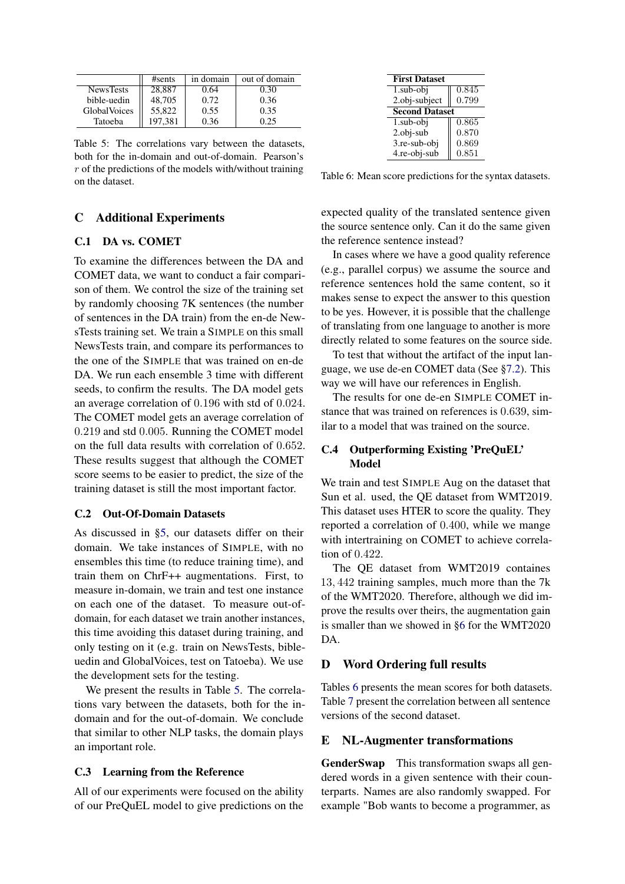<span id="page-11-5"></span>

|                  | #sents  | in domain | out of domain |
|------------------|---------|-----------|---------------|
| <b>NewsTests</b> | 28,887  | 0.64      | 0.30          |
| bible-uedin      | 48,705  | 0.72      | 0.36          |
| GlobalVoices     | 55,822  | 0.55      | 0.35          |
| Tatoeba          | 197.381 | 0.36      | 0.25          |

Table 5: The correlations vary between the datasets, both for the in-domain and out-of-domain. Pearson's  $r$  of the predictions of the models with/without training on the dataset.

# C Additional Experiments

## <span id="page-11-0"></span>C.1 DA vs. COMET

To examine the differences between the DA and COMET data, we want to conduct a fair comparison of them. We control the size of the training set by randomly choosing 7K sentences (the number of sentences in the DA train) from the en-de NewsTests training set. We train a SIMPLE on this small NewsTests train, and compare its performances to the one of the SIMPLE that was trained on en-de DA. We run each ensemble 3 time with different seeds, to confirm the results. The DA model gets an average correlation of 0.196 with std of 0.024. The COMET model gets an average correlation of 0.219 and std 0.005. Running the COMET model on the full data results with correlation of 0.652. These results suggest that although the COMET score seems to be easier to predict, the size of the training dataset is still the most important factor.

# <span id="page-11-1"></span>C.2 Out-Of-Domain Datasets

As discussed in [§5,](#page-2-2) our datasets differ on their domain. We take instances of SIMPLE, with no ensembles this time (to reduce training time), and train them on ChrF++ augmentations. First, to measure in-domain, we train and test one instance on each one of the dataset. To measure out-ofdomain, for each dataset we train another instances, this time avoiding this dataset during training, and only testing on it (e.g. train on NewsTests, bibleuedin and GlobalVoices, test on Tatoeba). We use the development sets for the testing.

We present the results in Table [5.](#page-11-5) The correlations vary between the datasets, both for the indomain and for the out-of-domain. We conclude that similar to other NLP tasks, the domain plays an important role.

#### C.3 Learning from the Reference

All of our experiments were focused on the ability of our PreQuEL model to give predictions on the

<span id="page-11-6"></span>

| <b>First Dataset</b>  |       |  |  |  |
|-----------------------|-------|--|--|--|
| 1.sub-obj             | 0.845 |  |  |  |
| 2.obj-subject         | 0.799 |  |  |  |
| <b>Second Dataset</b> |       |  |  |  |
| 1.sub-obj             | 0.865 |  |  |  |
| $2.$ obj-sub          | 0.870 |  |  |  |
| 3.re-sub-obj          | 0.869 |  |  |  |
| 4.re-obj-sub          | 0.851 |  |  |  |

Table 6: Mean score predictions for the syntax datasets.

expected quality of the translated sentence given the source sentence only. Can it do the same given the reference sentence instead?

In cases where we have a good quality reference (e.g., parallel corpus) we assume the source and reference sentences hold the same content, so it makes sense to expect the answer to this question to be yes. However, it is possible that the challenge of translating from one language to another is more directly related to some features on the source side.

To test that without the artifact of the input language, we use de-en COMET data (See [§7.2\)](#page-4-1). This way we will have our references in English.

The results for one de-en SIMPLE COMET instance that was trained on references is 0.639, similar to a model that was trained on the source.

# <span id="page-11-2"></span>C.4 Outperforming Existing 'PreQuEL' Model

We train and test SIMPLE Aug on the dataset that Sun et al. used, the QE dataset from WMT2019. This dataset uses HTER to score the quality. They reported a correlation of 0.400, while we mange with intertraining on COMET to achieve correlation of 0.422.

The QE dataset from WMT2019 containes 13, 442 training samples, much more than the 7k of the WMT2020. Therefore, although we did improve the results over theirs, the augmentation gain is smaller than we showed in [§6](#page-3-0) for the WMT2020 D<sub>A</sub>

#### <span id="page-11-3"></span>D Word Ordering full results

Tables [6](#page-11-6) presents the mean scores for both datasets. Table [7](#page-12-1) present the correlation between all sentence versions of the second dataset.

#### <span id="page-11-4"></span>E NL-Augmenter transformations

GenderSwap This transformation swaps all gendered words in a given sentence with their counterparts. Names are also randomly swapped. For example "Bob wants to become a programmer, as